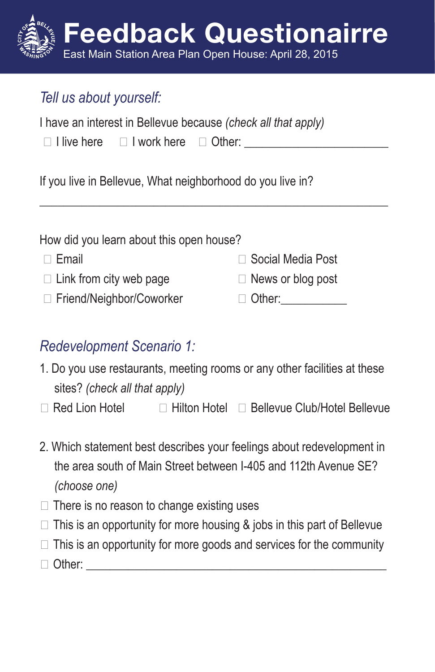# Feedback Questionairre East Main Station Area Plan Open House: April 28, 2015

## *Tell us about yourself:*

| I have an interest in Bellevue because (check all that apply) |  |  |  |
|---------------------------------------------------------------|--|--|--|
|                                                               |  |  |  |

| $\Box$ I live here $\Box$ I work here $\Box$ Other: |  |
|-----------------------------------------------------|--|
|                                                     |  |

If you live in Bellevue, What neighborhood do you live in?

| How did you learn about this open house? |                          |
|------------------------------------------|--------------------------|
| $\Box$ Email                             | □ Social Media Post      |
| $\Box$ Link from city web page           | $\Box$ News or blog post |
| □ Friend/Neighbor/Coworker               | $\Box$ Other:            |
|                                          |                          |

\_\_\_\_\_\_\_\_\_\_\_\_\_\_\_\_\_\_\_\_\_\_\_\_\_\_\_\_\_\_\_\_\_\_\_\_\_\_\_\_\_\_\_\_\_\_\_\_\_\_\_\_\_\_\_\_\_\_

#### *Redevelopment Scenario 1:*

- 1. Do you use restaurants, meeting rooms or any other facilities at these sites? *(check all that apply)*
- $\Box$  Red Lion Hotel  $\Box$  Hilton Hotel  $\Box$  Bellevue Club/Hotel Bellevue
- 2. Which statement best describes your feelings about redevelopment in the area south of Main Street between I-405 and 112th Avenue SE? *(choose one)*
- $\Box$  There is no reason to change existing uses
- $\Box$  This is an opportunity for more housing & jobs in this part of Bellevue
- $\Box$  This is an opportunity for more goods and services for the community
- $\Box$  Other: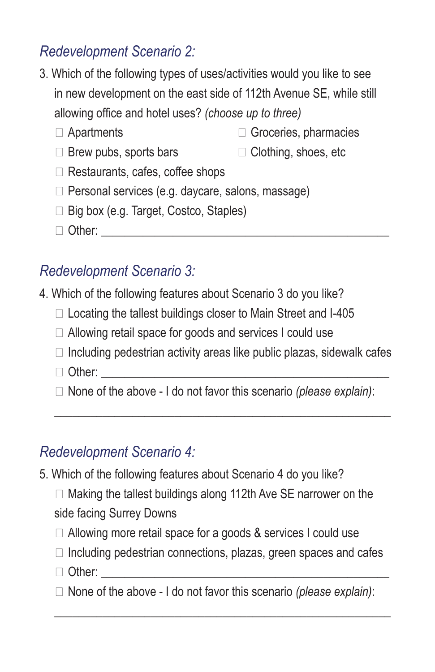## *Redevelopment Scenario 2:*

- 3. Which of the following types of uses/activities would you like to see in new development on the east side of 112th Avenue SE, while still allowing office and hotel uses? *(choose up to three)*
	- Apartments Groceries, pharmacies
	- $\Box$  Brew pubs, sports bars  $\Box$  Clothing, shoes, etc
	- $\Box$  Restaurants, cafes, coffee shops
	- $\Box$  Personal services (e.g. daycare, salons, massage)
	- $\Box$  Big box (e.g. Target, Costco, Staples)
	- Other: \_\_\_\_\_\_\_\_\_\_\_\_\_\_\_\_\_\_\_\_\_\_\_\_\_\_\_\_\_\_\_\_\_\_\_\_\_\_\_\_\_\_\_\_\_\_\_\_

#### *Redevelopment Scenario 3:*

- 4. Which of the following features about Scenario 3 do you like?
	- $\Box$  Locating the tallest buildings closer to Main Street and I-405
	- □ Allowing retail space for goods and services I could use
	- $\Box$  Including pedestrian activity areas like public plazas, sidewalk cafes
	- Other: \_\_\_\_\_\_\_\_\_\_\_\_\_\_\_\_\_\_\_\_\_\_\_\_\_\_\_\_\_\_\_\_\_\_\_\_\_\_\_\_\_\_\_\_\_\_\_\_
	- None of the above I do not favor this scenario *(please explain)*:

\_\_\_\_\_\_\_\_\_\_\_\_\_\_\_\_\_\_\_\_\_\_\_\_\_\_\_\_\_\_\_\_\_\_\_\_\_\_\_\_\_\_\_\_\_\_\_\_\_\_\_\_\_\_\_\_

## *Redevelopment Scenario 4:*

- 5. Which of the following features about Scenario 4 do you like?
	- $\Box$  Making the tallest buildings along 112th Ave SE narrower on the side facing Surrey Downs
	- $\Box$  Allowing more retail space for a goods & services I could use
	- $\Box$  Including pedestrian connections, plazas, green spaces and cafes
	- Other: \_\_\_\_\_\_\_\_\_\_\_\_\_\_\_\_\_\_\_\_\_\_\_\_\_\_\_\_\_\_\_\_\_\_\_\_\_\_\_\_\_\_\_\_\_\_\_\_
	- None of the above I do not favor this scenario *(please explain)*:

\_\_\_\_\_\_\_\_\_\_\_\_\_\_\_\_\_\_\_\_\_\_\_\_\_\_\_\_\_\_\_\_\_\_\_\_\_\_\_\_\_\_\_\_\_\_\_\_\_\_\_\_\_\_\_\_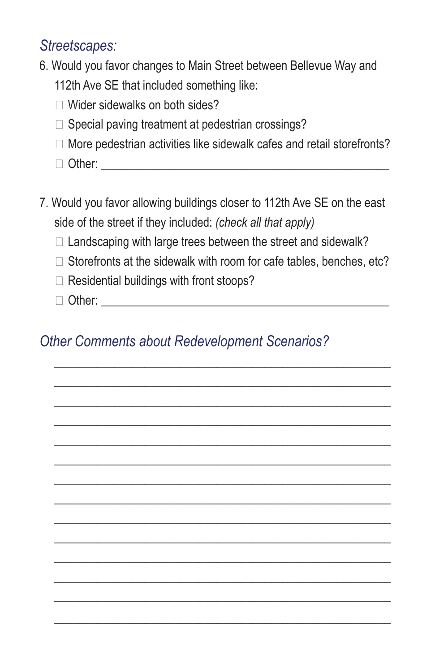#### *Streetscapes:*

- 6. Would you favor changes to Main Street between Bellevue Way and 112th Ave SE that included something like:
	- □ Wider sidewalks on both sides?
	- $\square$  Special paving treatment at pedestrian crossings?
	- $\Box$  More pedestrian activities like sidewalk cafes and retail storefronts?
	- Other: \_\_\_\_\_\_\_\_\_\_\_\_\_\_\_\_\_\_\_\_\_\_\_\_\_\_\_\_\_\_\_\_\_\_\_\_\_\_\_\_\_\_\_\_\_\_\_\_
- 7. Would you favor allowing buildings closer to 112th Ave SE on the east side of the street if they included: *(check all that apply)*
	- $\Box$  Landscaping with large trees between the street and sidewalk?
	- $\Box$  Storefronts at the sidewalk with room for cafe tables, benches, etc?

\_\_\_\_\_\_\_\_\_\_\_\_\_\_\_\_\_\_\_\_\_\_\_\_\_\_\_\_\_\_\_\_\_\_\_\_\_\_\_\_\_\_\_\_\_\_\_\_\_\_\_\_\_\_\_\_ \_\_\_\_\_\_\_\_\_\_\_\_\_\_\_\_\_\_\_\_\_\_\_\_\_\_\_\_\_\_\_\_\_\_\_\_\_\_\_\_\_\_\_\_\_\_\_\_\_\_\_\_\_\_\_\_ \_\_\_\_\_\_\_\_\_\_\_\_\_\_\_\_\_\_\_\_\_\_\_\_\_\_\_\_\_\_\_\_\_\_\_\_\_\_\_\_\_\_\_\_\_\_\_\_\_\_\_\_\_\_\_\_ \_\_\_\_\_\_\_\_\_\_\_\_\_\_\_\_\_\_\_\_\_\_\_\_\_\_\_\_\_\_\_\_\_\_\_\_\_\_\_\_\_\_\_\_\_\_\_\_\_\_\_\_\_\_\_\_ \_\_\_\_\_\_\_\_\_\_\_\_\_\_\_\_\_\_\_\_\_\_\_\_\_\_\_\_\_\_\_\_\_\_\_\_\_\_\_\_\_\_\_\_\_\_\_\_\_\_\_\_\_\_\_\_ \_\_\_\_\_\_\_\_\_\_\_\_\_\_\_\_\_\_\_\_\_\_\_\_\_\_\_\_\_\_\_\_\_\_\_\_\_\_\_\_\_\_\_\_\_\_\_\_\_\_\_\_\_\_\_\_ \_\_\_\_\_\_\_\_\_\_\_\_\_\_\_\_\_\_\_\_\_\_\_\_\_\_\_\_\_\_\_\_\_\_\_\_\_\_\_\_\_\_\_\_\_\_\_\_\_\_\_\_\_\_\_\_ \_\_\_\_\_\_\_\_\_\_\_\_\_\_\_\_\_\_\_\_\_\_\_\_\_\_\_\_\_\_\_\_\_\_\_\_\_\_\_\_\_\_\_\_\_\_\_\_\_\_\_\_\_\_\_\_ \_\_\_\_\_\_\_\_\_\_\_\_\_\_\_\_\_\_\_\_\_\_\_\_\_\_\_\_\_\_\_\_\_\_\_\_\_\_\_\_\_\_\_\_\_\_\_\_\_\_\_\_\_\_\_\_ \_\_\_\_\_\_\_\_\_\_\_\_\_\_\_\_\_\_\_\_\_\_\_\_\_\_\_\_\_\_\_\_\_\_\_\_\_\_\_\_\_\_\_\_\_\_\_\_\_\_\_\_\_\_\_\_ \_\_\_\_\_\_\_\_\_\_\_\_\_\_\_\_\_\_\_\_\_\_\_\_\_\_\_\_\_\_\_\_\_\_\_\_\_\_\_\_\_\_\_\_\_\_\_\_\_\_\_\_\_\_\_\_ \_\_\_\_\_\_\_\_\_\_\_\_\_\_\_\_\_\_\_\_\_\_\_\_\_\_\_\_\_\_\_\_\_\_\_\_\_\_\_\_\_\_\_\_\_\_\_\_\_\_\_\_\_\_\_\_ \_\_\_\_\_\_\_\_\_\_\_\_\_\_\_\_\_\_\_\_\_\_\_\_\_\_\_\_\_\_\_\_\_\_\_\_\_\_\_\_\_\_\_\_\_\_\_\_\_\_\_\_\_\_\_\_

\_\_\_\_\_\_\_\_\_\_\_\_\_\_\_\_\_\_\_\_\_\_\_\_\_\_\_\_\_\_\_\_\_\_\_\_\_\_\_\_\_\_\_\_\_\_\_\_\_\_\_\_\_\_\_\_

- $\Box$  Residential buildings with front stoops?
- Other: \_\_\_\_\_\_\_\_\_\_\_\_\_\_\_\_\_\_\_\_\_\_\_\_\_\_\_\_\_\_\_\_\_\_\_\_\_\_\_\_\_\_\_\_\_\_\_\_

## *Other Comments about Redevelopment Scenarios?*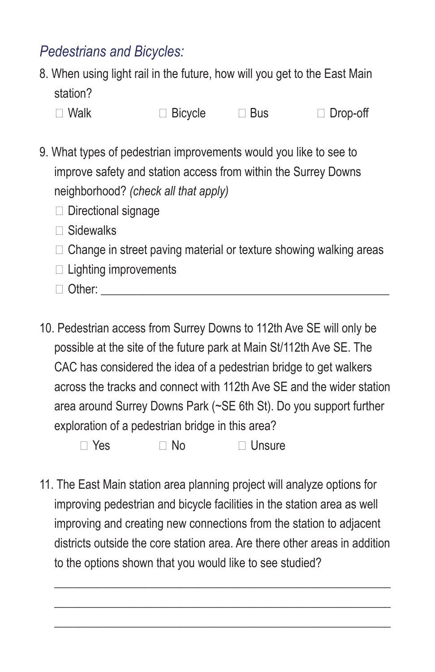## *Pedestrians and Bicycles:*

- 8. When using light rail in the future, how will you get to the East Main station?
	- □ Walk Bicycle Bus Drop-off
- 9. What types of pedestrian improvements would you like to see to improve safety and station access from within the Surrey Downs neighborhood? *(check all that apply)*
	- Directional signage
	- $\Box$  Sidewalks
	- $\Box$  Change in street paving material or texture showing walking areas
	- $\Box$  Lighting improvements
	- Other: \_\_\_\_\_\_\_\_\_\_\_\_\_\_\_\_\_\_\_\_\_\_\_\_\_\_\_\_\_\_\_\_\_\_\_\_\_\_\_\_\_\_\_\_\_\_\_\_
- 10. Pedestrian access from Surrey Downs to 112th Ave SE will only be possible at the site of the future park at Main St/112th Ave SE. The CAC has considered the idea of a pedestrian bridge to get walkers across the tracks and connect with 112th Ave SE and the wider station area around Surrey Downs Park (~SE 6th St). Do you support further exploration of a pedestrian bridge in this area?

 $\Box$  Yes  $\Box$  No  $\Box$  Unsure

11. The East Main station area planning project will analyze options for improving pedestrian and bicycle facilities in the station area as well improving and creating new connections from the station to adjacent districts outside the core station area. Are there other areas in addition to the options shown that you would like to see studied?

\_\_\_\_\_\_\_\_\_\_\_\_\_\_\_\_\_\_\_\_\_\_\_\_\_\_\_\_\_\_\_\_\_\_\_\_\_\_\_\_\_\_\_\_\_\_\_\_\_\_\_\_\_\_\_\_ \_\_\_\_\_\_\_\_\_\_\_\_\_\_\_\_\_\_\_\_\_\_\_\_\_\_\_\_\_\_\_\_\_\_\_\_\_\_\_\_\_\_\_\_\_\_\_\_\_\_\_\_\_\_\_\_ \_\_\_\_\_\_\_\_\_\_\_\_\_\_\_\_\_\_\_\_\_\_\_\_\_\_\_\_\_\_\_\_\_\_\_\_\_\_\_\_\_\_\_\_\_\_\_\_\_\_\_\_\_\_\_\_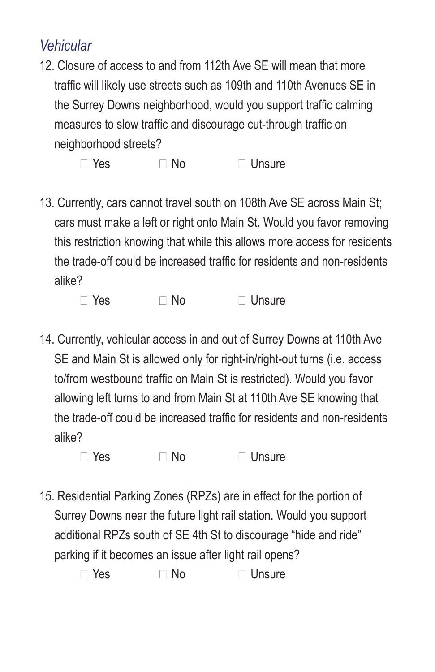#### *Vehicular*

12. Closure of access to and from 112th Ave SE will mean that more traffic will likely use streets such as 109th and 110th Avenues SE in the Surrey Downs neighborhood, would you support traffic calming measures to slow traffic and discourage cut-through traffic on neighborhood streets?

 $\Box$  Yes  $\Box$  No  $\Box$  Unsure

13. Currently, cars cannot travel south on 108th Ave SE across Main St; cars must make a left or right onto Main St. Would you favor removing this restriction knowing that while this allows more access for residents the trade-off could be increased traffic for residents and non-residents alike?

 $\Box$  Yes  $\Box$  No  $\Box$  Unsure

14. Currently, vehicular access in and out of Surrey Downs at 110th Ave SE and Main St is allowed only for right-in/right-out turns (i.e. access to/from westbound traffic on Main St is restricted). Would you favor allowing left turns to and from Main St at 110th Ave SE knowing that the trade-off could be increased traffic for residents and non-residents alike?

 $\Box$  Yes  $\Box$  No  $\Box$  Unsure

15. Residential Parking Zones (RPZs) are in effect for the portion of Surrey Downs near the future light rail station. Would you support additional RPZs south of SE 4th St to discourage "hide and ride" parking if it becomes an issue after light rail opens?

 $\Box$  Yes  $\Box$  No  $\Box$  Unsure